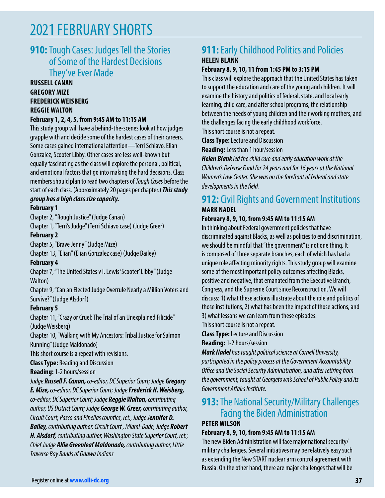## 2021 FEBRUARY SHORTS

## **910:** Tough Cases: Judges Tell the Stories of Some of the Hardest Decisions They've Ever Made

### **RUSSELL CANAN GREGORY MIZE FREDERICK WEISBERG REGGIE WALTON**

### **February 1, 2, 4, 5, from 9:45 AM to 11:15 AM**

This study group will have a behind-the-scenes look at how judges grapple with and decide some of the hardest cases of their careers. Some cases gained international attention—Terri Schiavo, Elian Gonzalez, Scooter Libby. Other cases are less well-known but equally fascinating as the class will explore the personal, political, and emotional factors that go into making the hard decisions. Class members should plan to read two chapters of *Tough Cases* before the start of each class. (Approximately 20 pages per chapter.) *This study group has a high class size capacity.*

## **February 1**

Chapter 2, "Rough Justice" (Judge Canan)

Chapter 1, "Terri's Judge" (Terri Schiavo case) (Judge Greer) **February 2**

Chapter 5, "Brave Jenny" (Judge Mize)

Chapter 13, "Elian" (Elian Gonzalez case) (Judge Bailey)

### **February 4**

Chapter 7, "The United States v I. Lewis 'Scooter' Libby" (Judge Walton)

Chapter 9, "Can an Elected Judge Overrule Nearly a Million Voters and Survive?" (Judge Alsdorf)

### **February 5**

Chapter 11, "Crazy or Cruel: The Trial of an Unexplained Filicide" (Judge Weisberg)

Chapter 10, "Walking with My Ancestors: Tribal Justice for Salmon Running" (Judge Maldonado)

This short course is a repeat with revisions.

**Class Type:** Reading and Discussion

**Reading:** 1-2 hours/session

*Judge Russell F. Canan, co-editor, DC Superior Court; Judge Gregory E. Mize, co-editor, DC Superior Court; Judge Frederick H. Weisberg, co-editor, DC Superior Court; Judge Reggie Walton, contributing author, US District Court; Judge George W. Greer, contributing author, Circuit Court, Pasco and Pinellas counties, ret., Judge Jennifer D. Bailey, contributing author, Circuit Court , Miami-Dade, Judge Robert H. Alsdorf, contributing author, Washington State Superior Court, ret.; Chief Judge Allie Greenleaf Maldonado, contributing author, Little Traverse Bay Bands of Odawa Indians*

### **911: Early Childhood Politics and Policies HELEN BLANK**

### **February 8, 9, 10, 11 from 1:45 PM to 3:15 PM**

This class will explore the approach that the United States has taken to support the education and care of the young and children. It will examine the history and politics of federal, state, and local early learning, child care, and after school programs, the relationship between the needs of young children and their working mothers, and the challenges facing the early childhood workforce.

This short course is not a repeat.

**Class Type:** Lecture and Discussion

**Reading:** Less than 1 hour/session

*Helen Blank led the child care and early education work at the Children's Defense Fund for 24 years and for 16 years at the National Women's Law Center. She was on the forefront of federal and state developments in the field.*

## **912:** Civil Rights and Government Institutions **MARK NADEL**

### **February 8, 9, 10, from 9:45 AM to 11:15 AM**

In thinking about Federal government policies that have discriminated against Blacks, as well as policies to end discrimination, we should be mindful that "the government" is not one thing. It is composed of three separate branches, each of which has had a unique role affecting minority rights. This study group will examine some of the most important policy outcomes affecting Blacks, positive and negative, that emanated from the Executive Branch, Congress, and the Supreme Court since Reconstruction. We will discuss: 1) what these actions illustrate about the role and politics of those institutions, 2) what has been the impact of those actions, and 3) what lessons we can learn from these episodes.

This short course is not a repeat.

**Class Type:** Lecture and Discussion

**Reading:** 1-2 hours/session

*Mark Nadel has taught political science at Cornell University, participated in the policy process at the Government Accountability Office and the Social Security Administration, and after retiring from the government, taught at Georgetown's School of Public Policy and its Government Affairs Institute.*

## **913:** The National Security/Military Challenges Facing the Biden Administration

### **PETER WILSON**

### **February 8, 9, 10, from 9:45 AM to 11:15 AM**

The new Biden Administration will face major national security/ military challenges. Several initiatives may be relatively easy such as extending the New START nuclear arm control agreement with Russia. On the other hand, there are major challenges that will be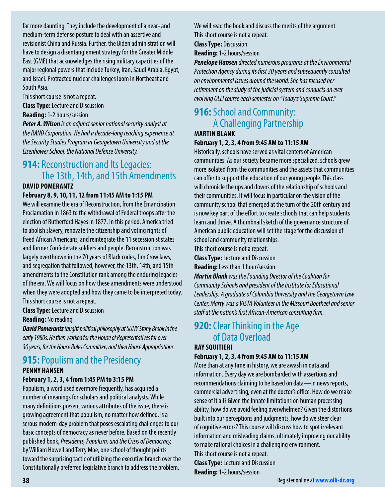far more daunting. They include the development of a near- and medium-term defense posture to deal with an assertive and revisionist China and Russia. Further, the Biden administration will have to design a disentanglement strategy for the Greater Middle East (GME) that acknowledges the rising military capacities of the major regional powers that include Turkey, Iran, Saudi Arabia, Egypt, and Israel. Protracted nuclear challenges loom in Northeast and South Asia.

This short course is not a repeat.

**Class Type:** Lecture and Discussion

**Reading:** 1-2 hours/session

*Peter A. Wilson is an adjunct senior national security analyst at the RAND Corporation. He had a decade-long teaching experience at the Security Studies Program at Georgetown University and at the Eisenhower School, the National Defense University.*

### **914: Reconstruction and Its Legacies:** The 13th, 14th, and 15th Amendments **DAVID POMERANTZ**

### **February 8, 9, 10, 11, 12 from 11:45 AM to 1:15 PM**

We will examine the era of Reconstruction, from the Emancipation Proclamation in 1863 to the withdrawal of Federal troops after the election of Rutherford Hayes in 1877. In this period, America tried to abolish slavery, renovate the citizenship and voting rights of freed African Americans, and reintegrate the 11 secessionist states and former Confederate soldiers and people. Reconstruction was largely overthrown in the 70 years of Black codes, Jim Crow laws, and segregation that followed; however, the 13th, 14th, and 15th amendments to the Constitution rank among the enduring legacies of the era. We will focus on how these amendments were understood when they were adopted and how they came to be interpreted today. This short course is not a repeat.

**Class Type:** Lecture and Discussion

#### **Reading:** No reading

*David Pomerantz taught political philosophy at SUNY Stony Brook in the early 1980s. He then worked for the House of Representatives for over 30 years, for the House Rules Committee, and then House Appropriations.*

## **915: Populism and the Presidency**

### **PENNY HANSEN**

#### **February 1, 2, 3, 4 from 1:45 PM to 3:15 PM**

Populism, a word used evermore frequently, has acquired a number of meanings for scholars and political analysts. While many definitions present various attributes of the issue, there is growing agreement that populism, no matter how defined, is a serous modern-day problem that poses escalating challenges to our basic concepts of democracy as never before. Based on the recently published book, *Presidents, Populism, and the Crisis of Democracy,*  by William Howell and Terry Moe, one school of thought points toward the surprising tactic of utilizing the executive branch over the Constitutionally preferred legislative branch to address the problem.

We will read the book and discuss the merits of the argument. This short course is not a repeat.

**Class Type:** Discussion

**Reading:** 1-2 hours/session

*Penelope Hansen directed numerous programs at the Environmental Protection Agency during its first 30 years and subsequently consulted on environmental issues around the world. She has focused her retirement on the study of the judicial system and conducts an everevolving OLLI course each semester on "Today's Supreme Court."*

## **916:** School and Community: A Challenging Partnership

### **MARTIN BLANK**

### **February 1, 2, 3, 4 from 9:45 AM to 11:15 AM**

Historically, schools have served as vital centers of American communities. As our society became more specialized, schools grew more isolated from the communities and the assets that communities can offer to support the education of our young people. This class will chronicle the ups and downs of the relationship of schools and their communities. It will focus in particular on the vision of the community school that emerged at the turn of the 20th century and is now key part of the effort to create schools that can help students learn and thrive. A thumbnail sketch of the governance structure of American public education will set the stage for the discussion of school and community relationships.

This short course is not a repeat.

**Class Type:** Lecture and Discussion

**Reading:** Less than 1 hour/session

*Martin Blank was the Founding Director of the Coalition for Community Schools and president of the Institute for Educational Leadership. A graduate of Columbia University and the Georgetown Law Center, Marty was a VISTA Volunteer in the Missouri Bootheel and senior staff at the nation's first African-American consulting firm.*

## **920:** Clear Thinking in the Age of Data Overload

## **RAY SQUITIERI**

### **February 1, 2, 3, 4 from 9:45 AM to 11:15 AM**

More than at any time in history, we are awash in data and information. Every day we are bombarded with assertions and recommendations claiming to be based on data—in news reports, commercial advertising, even at the doctor's office. How do we make sense of it all? Given the innate limitations on human processing ability, how do we avoid feeling overwhelmed? Given the distortions built into our perceptions and judgments, how do we steer clear of cognitive errors? This course will discuss how to spot irrelevant information and misleading claims, ultimately improving our ability to make rational choices in a challenging environment. This short course is not a repeat.

**Class Type:** Lecture and Discussion **Reading:** 1-2 hours/session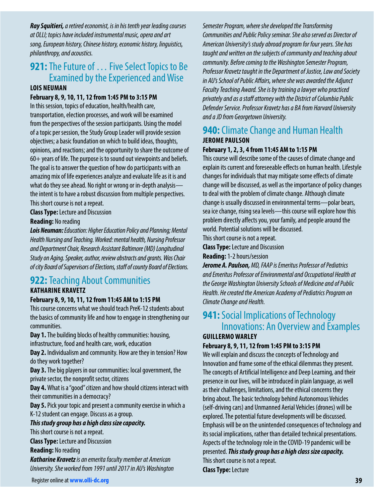*Ray Squitieri, a retired economist, is in his tenth year leading courses at OLLI; topics have included instrumental music, opera and art song, European history, Chinese history, economic history, linguistics, philanthropy, and acoustics.*

## **921:** The Future of ... Five Select Topics to Be Examined by the Experienced and Wise **LOIS NEUMAN**

### **February 8, 9, 10, 11, 12 from 1:45 PM to 3:15 PM**

In this session, topics of education, health/health care, transportation, election processes, and work will be examined from the perspectives of the session participants. Using the model of a topic per session, the Study Group Leader will provide session objectives; a basic foundation on which to build ideas, thoughts, opinions, and reactions; and the opportunity to share the outcome of  $60+$  years of life. The purpose is to sound out viewpoints and beliefs. The goal is to answer the question of how do participants with an amazing mix of life experiences analyze and evaluate life as it is and what do they see ahead. No right or wrong or in-depth analysis the intent is to have a robust discussion from multiple perspectives. This short course is not a repeat.

**Class Type:** Lecture and Discussion

### **Reading:** No reading

*Lois Neuman: Education: Higher Education Policy and Planning; Mental Health Nursing and Teaching. Worked: mental health, Nursing Professor and Department Chair, Research Assistant Baltimore (MD) Longitudinal Study on Aging. Speaker, author, review abstracts and grants. Was Chair of city Board of Supervisors of Elections, staff of county Board of Elections.*

### **922: Teaching About Communities KATHARINE KRAVETZ**

### **February 8, 9, 10, 11, 12 from 11:45 AM to 1:15 PM**

This course concerns what we should teach PreK-12 students about the basics of community life and how to engage in strengthening our communities.

**Day 1.** The building blocks of healthy communities: housing, infrastructure, food and health care, work, education

**Day 2.** Individualism and community. How are they in tension? How do they work together?

**Day 3.** The big players in our communities: local government, the private sector, the nonprofit sector, citizens

**Day 4.** What is a "good" citizen and how should citizens interact with their communities in a democracy?

**Day 5.** Pick your topic and present a community exercise in which a K-12 student can engage. Discuss as a group.

### *This study group has a high class size capacity.*

This short course is not a repeat.

**Class Type:** Lecture and Discussion

**Reading:** No reading

*Katharine Kravetz is an emerita faculty member at American University. She worked from 1991 until 2017 in AU's Washington* 

*Semester Program, where she developed the Transforming Communities and Public Policy seminar. She also served as Director of American University's study abroad program for four years. She has taught and written on the subjects of community and teaching about community. Before coming to the Washington Semester Program, Professor Kravetz taught in the Department of Justice, Law and Society in AU's School of Public Affairs, where she was awarded the Adjunct Faculty Teaching Award. She is by training a lawyer who practiced privately and as a staff attorney with the District of Columbia Public Defender Service. Professor Kravetz has a BA from Harvard University and a JD from Georgetown University.*

## **940:** Climate Change and Human Health **JEROME PAULSON**

### **February 1, 2, 3, 4 from 11:45 AM to 1:15 PM**

This course will describe some of the causes of climate change and explain its current and foreseeable effects on human health. Lifestyle changes for individuals that may mitigate some effects of climate change will be discussed, as well as the importance of policy changes to deal with the problem of climate change. Although climate change is usually discussed in environmental terms—polar bears, sea ice change, rising sea levels—this course will explore how this problem directly affects you, your family, and people around the world. Potential solutions will be discussed.

This short course is not a repeat.

**Class Type:** Lecture and Discussion

**Reading:** 1-2 hours/session

*Jerome A. Paulson, MD, FAAP is Emeritus Professor of Pediatrics and Emeritus Professor of Environmental and Occupational Health at the George Washington University Schools of Medicine and of Public Health. He created the American Academy of Pediatrics Program on Climate Change and Health.*

## **941:** Social Implications of Technology Innovations: An Overview and Examples **GUILLERMO WARLEY**

### **February 8, 9, 11, 12 from 1:45 PM to 3:15 PM**

We will explain and discuss the concepts of Technology and Innovation and frame some of the ethical dilemmas they present. The concepts of Artificial Intelligence and Deep Learning, and their presence in our lives, will be introduced in plain language, as well as their challenges, limitations, and the ethical concerns they bring about. The basic technology behind Autonomous Vehicles (self-driving cars) and Unmanned Aerial Vehicles (drones) will be explored. The potential future developments will be discussed. Emphasis will be on the unintended consequences of technology and its social implications, rather than detailed technical presentations. Aspects of the technology role in the COVID-19 pandemic will be presented. *This study group has a high class size capacity.* This short course is not a repeat. **Class Type:** Lecture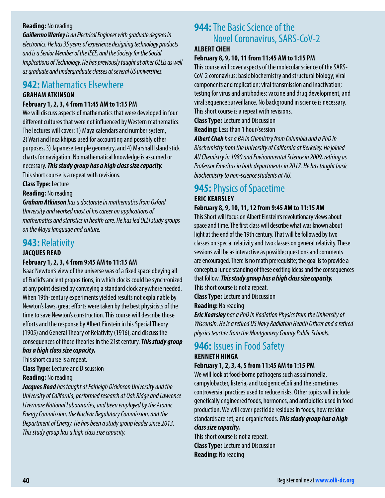### **Reading:** No reading

*Guillermo Warley is an Electrical Engineer with graduate degrees in electronics. He has 35 years of experience designing technology products and is a Senior Member of the IEEE, and the Society for the Social Implications of Technology. He has previously taught at other OLLIs as well as graduate and undergraduate classes at several US universities.*

## **942: Mathematics Elsewhere**

## **GRAHAM ATKINSON**

### **February 1, 2, 3, 4 from 11:45 AM to 1:15 PM**

We will discuss aspects of mathematics that were developed in four different cultures that were not influenced by Western mathematics. The lectures will cover: 1) Maya calendars and number system, 2) Wari and Inca khipus used for accounting and possibly other purposes, 3) Japanese temple geometry, and 4) Marshall Island stick charts for navigation. No mathematical knowledge is assumed or necessary. *This study group has a high class size capacity.* This short course is a repeat with revisions.

**Class Type:** Lecture

### **Reading:** No reading

*Graham Atkinson has a doctorate in mathematics from Oxford University and worked most of his career on applications of mathematics and statistics in health care. He has led OLLI study groups on the Maya language and culture.*

## **943:** Relativity

### **JACQUES READ**

### **February 1, 2, 3, 4 from 9:45 AM to 11:15 AM**

Isaac Newton's view of the universe was of a fixed space obeying all of Euclid's ancient propositions, in which clocks could be synchronized at any point desired by conveying a standard clock anywhere needed. When 19th-century experiments yielded results not explainable by Newton's laws, great efforts were taken by the best physicists of the time to save Newton's construction. This course will describe those efforts and the response by Albert Einstein in his Special Theory (1905) and General Theory of Relativity (1916), and discuss the consequences of those theories in the 21st century. *This study group* 

#### *has a high class size capacity.*

This short course is a repeat.

**Class Type:** Lecture and Discussion

**Reading:** No reading

*Jacques Read has taught at Fairleigh Dickinson University and the University of California, performed research at Oak Ridge and Lawrence Livermore National Laboratories, and been employed by the Atomic Energy Commission, the Nuclear Regulatory Commission, and the Department of Energy. He has been a study group leader since 2013. This study group has a high class size capacity.*

## **944:** The Basic Science of the Novel Coronavirus, SARS-CoV-2

### **ALBERT CHEH**

### **February 8, 9, 10, 11 from 11:45 AM to 1:15 PM**

This course will cover aspects of the molecular science of the SARS-CoV-2 coronavirus: basic biochemistry and structural biology; viral components and replication; viral transmission and inactivation; testing for virus and antibodies; vaccine and drug development, and viral sequence surveillance. No background in science is necessary. This short course is a repeat with revisions.

**Class Type:** Lecture and Discussion **Reading:** Less than 1 hour/session

*Albert Cheh has a BA in Chemistry from Columbia and a PhD in Biochemistry from the University of California at Berkeley. He joined* 

*AU Chemistry in 1980 and Environmental Science in 2009, retiring as Professor Emeritus in both departments in 2017. He has taught basic biochemistry to non-science students at AU.*

## **945: Physics of Spacetime**

### **ERIC KEARSLEY February 8, 9, 10, 11, 12 from 9:45 AM to 11:15 AM**

This Short will focus on Albert Einstein's revolutionary views about space and time. The first class will describe what was known about light at the end of the 19th century. That will be followed by two classes on special relativity and two classes on general relativity. These sessions will be as interactive as possible; questions and comments are encouraged. There is no math prerequisite; the goal is to provide a conceptual understanding of these exciting ideas and the consequences that follow. *This study group has a high class size capacity.*

This short course is not a repeat.

**Class Type:** Lecture and Discussion

**Reading:** No reading

*Eric Kearsley has a PhD in Radiation Physics from the University of Wisconsin. He is a retired US Navy Radiation Health Officer and a retired physics teacher from the Montgomery County Public Schools.*

## **946: Issues in Food Safety KENNETH HINGA**

### **February 1, 2, 3, 4, 5 from 11:45 AM to 1:15 PM**

We will look at food-borne pathogens such as salmonella, campylobacter, listeria, and toxigenic eColi and the sometimes controversial practices used to reduce risks. Other topics will include genetically engineered foods, hormones, and antibiotics used in food production. We will cover pesticide residues in foods, how residue standards are set, and organic foods. *This study group has a high class size capacity.*

This short course is not a repeat. **Class Type:** Lecture and Discussion **Reading:** No reading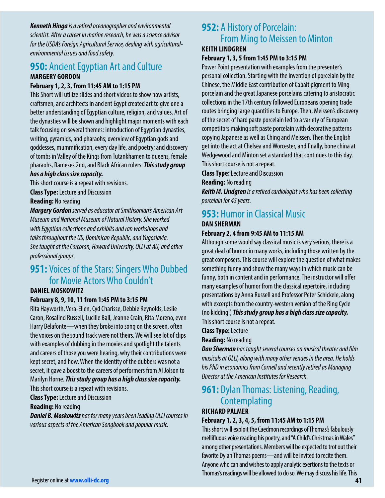*Kenneth Hinga is a retired oceanographer and environmental scientist. After a career in marine research, he was a science advisor for the USDA's Foreign Agricultural Service, dealing with agriculturalenvironmental issues and food safety.*

### **950:** Ancient Egyptian Art and Culture **MARGERY GORDON**

### **February 1, 2, 3, from 11:45 AM to 1:15 PM**

This Short will utilize slides and short videos to show how artists, craftsmen, and architects in ancient Egypt created art to give one a better understanding of Egyptian culture, religion, and values. Art of the dynasties will be shown and highlight major moments with each talk focusing on several themes: introduction of Egyptian dynasties, writing, pyramids, and pharaohs; overview of Egyptian gods and goddesses, mummification, every day life, and poetry; and discovery of tombs in Valley of the Kings from Tutankhamen to queens, female pharaohs, Rameses 2nd, and Black African rulers. *This study group* 

### *has a high class size capacity.*

This short course is a repeat with revisions.

**Class Type:** Lecture and Discussion

### **Reading:** No reading

*Margery Gordon served as educator at Smithsonian's American Art Museum and National Museum of Natural History. She worked with Egyptian collections and exhibits and ran workshops and talks throughout the US, Dominican Republic, and Yugoslavia. She taught at the Corcoran, Howard University, OLLI at AU, and other professional groups.*

## **951:** Voices of the Stars: Singers Who Dubbed for Movie Actors Who Couldn't

### **DANIEL MOSKOWITZ**

### **February 8, 9, 10, 11 from 1:45 PM to 3:15 PM**

Rita Hayworth, Vera-Ellen, Cyd Charisse, Debbie Reynolds, Leslie Caron, Rosalind Russell, Lucille Ball, Jeanne Crain, Rita Moreno, even Harry Belafonte—when they broke into song on the screen, often the voices on the sound track were not theirs. We will see lot of clips with examples of dubbing in the movies and spotlight the talents and careers of those you were hearing, why their contributions were kept secret, and how. When the identity of the dubbers was not a secret, it gave a boost to the careers of performers from Al Jolson to Marilyn Horne. *This study group has a high class size capacity.*

This short course is a repeat with revisions.

**Class Type:** Lecture and Discussion

### **Reading:** No reading

*Daniel B. Moskowitz has for many years been leading OLLI courses in various aspects of the American Songbook and popular music.*

## **952: A History of Porcelain:** From Ming to Meissen to Minton

## **KEITH LINDGREN**

### **February 1, 3, 5 from 1:45 PM to 3:15 PM**

Power Point presentation with examples from the presenter's personal collection. Starting with the invention of porcelain by the Chinese, the Middle East contribution of Cobalt pigment to Ming porcelain and the great Japanese porcelains catering to aristocratic collections in the 17th century followed Europeans opening trade routes bringing large quantities to Europe. Then, Meissen's discovery of the secret of hard paste porcelain led to a variety of European competitors making soft paste porcelain with decorative patterns copying Japanese as well as Ching and Meissen. Then the English get into the act at Chelsea and Worcester, and finally, bone china at Wedgewood and Minton set a standard that continues to this day. This short course is not a repeat.

**Class Type:** Lecture and Discussion

**Reading:** No reading

*Keith M. Lindgren is a retired cardiologist who has been collecting porcelain for 45 years.*

## **953:** Humor in Classical Music

## **DAN SHERMAN**

### **February 2, 4 from 9:45 AM to 11:15 AM**

Although some would say classical music is very serious, there is a great deal of humor in many works, including those written by the great composers. This course will explore the question of what makes something funny and show the many ways in which music can be funny, both in content and in performance. The instructor will offer many examples of humor from the classical repertoire, including presentations by Anna Russell and Professor Peter Schickele, along with excerpts from the country-western version of the Ring Cycle (no kidding!) *This study group has a high class size capacity.* This short course is not a repeat.

### **Class Type:** Lecture

### **Reading:** No reading

*Dan Sherman has taught several courses on musical theater and film musicals at OLLI, along with many other venues in the area. He holds his PhD in economics from Cornell and recently retired as Managing Director at the American Institutes for Research.*

## **961:** Dylan Thomas: Listening, Reading, **Contemplating**

### **RICHARD PALMER**

### **February 1, 2, 3, 4, 5, from 11:45 AM to 1:15 PM**

This short will exploit the Caedmon recordings of Thomas's fabulously mellifluous voice reading his poetry, and "A Child's Christmas in Wales" among other presentations. Members will be expected to trot out their favorite Dylan Thomas poems—and will be invited to recite them. Anyone who can and wishes to apply analytic exertions to the texts or Thomas's readings will be allowed to do so. We may discuss his life. This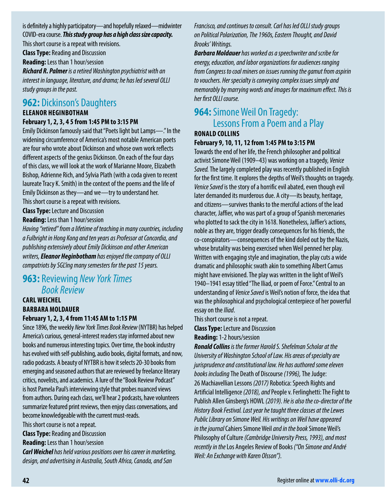is definitely a highly participatory—and hopefully relaxed—midwinter COVID-era course. *This study group has a high class size capacity.*

This short course is a repeat with revisions.

**Class Type:** Reading and Discussion

**Reading:** Less than 1 hour/session

*Richard R. Palmer is a retired Washington psychiatrist with an interest in language, literature, and drama; he has led several OLLI study groups in the past.*

## **962: Dickinson's Daughters**

### **ELEANOR HEGINBOTHAM**

### **February 1, 2, 3, 4 5 from 1:45 PM to 3:15 PM**

Emily Dickinson famously said that "Poets light but Lamps—." In the widening circumference of America's most notable American poets are four who wrote about Dickinson and whose own work reflects different aspects of the genius Dickinson. On each of the four days of this class, we will look at the work of Marianne Moore, Elizabeth Bishop, Adrienne Rich, and Sylvia Plath (with a coda given to recent laureate Tracy K. Smith) in the context of the poems and the life of Emily Dickinson as they—and we—try to understand her.

This short course is a repeat with revisions.

**Class Type:** Lecture and Discussion

**Reading:** Less than 1 hour/session

*Having "retired" from a lifetime of teaching in many countries, including a Fulbright in Hong Kong and ten years as Professor at Concordia, and publishing extensively about Emily Dickinson and other American writers, Eleanor Heginbotham has enjoyed the company of OLLI compatriots by SGL'ing many semesters for the past 15 years.*

## **963:** Reviewing *New York Times Book Review*

## **CARL WEICHEL BARBARA MOLDAUER**

### **February 1, 2, 3, 4 from 11:45 AM to 1:15 PM**

Since 1896, the weekly *New York Times Book Review* (NYTBR) has helped America's curious, general-interest readers stay informed about new books and numerous interesting topics. Over time, the book industry has evolved with self-publishing, audio books, digital formats, and now, radio podcasts. A beauty of NYTBR is how it selects 20-30 books from emerging and seasoned authors that are reviewed by freelance literary critics, novelists, and academics. A lure of the "Book Review Podcast" is host Pamela Paul's interviewing style that probes nuanced views from authors. During each class, we'll hear 2 podcasts, have volunteers summarize featured print reviews, then enjoy class conversations, and become knowledgeable with the current must-reads.

This short course is not a repeat.

**Class Type:** Reading and Discussion

**Reading:** Less than 1 hour/session

*Carl Weichel has held various positions over his career in marketing, design, and advertising in Australia, South Africa, Canada, and San* 

*Francisco, and continues to consult. Carl has led OLLI study groups on Political Polarization, The 1960s, Eastern Thought, and David Brooks' Writings.*

*Barbara Moldauer has worked as a speechwriter and scribe for energy, education, and labor organizations for audiences ranging from Congress to coal miners on issues running the gamut from aspirin to vouchers. Her specialty is conveying complex issues simply and memorably by marrying words and images for maximum effect. This is her first OLLI course.*

## **964:** Simone Weil On Tragedy: Lessons From a Poem and a Play

### **RONALD COLLINS**

### **February 9, 10, 11, 12 from 1:45 PM to 3:15 PM**

Towards the end of her life, the French philosopher and political activist Simone Weil (1909–43) was working on a tragedy, *Venice Saved.* The largely completed play was recently published in English for the first time. It explores the depths of Weil's thoughts on tragedy. *Venice Saved* is the story of a horrific evil abated, even though evil later demanded its murderous due. A city—its beauty, heritage, and citizens—survives thanks to the merciful actions of the lead character, Jaffier, who was part of a group of Spanish mercenaries who plotted to sack the city in 1618. Nonetheless, Jaffier's actions, noble as they are, trigger deadly consequences for his friends, the co-conspirators—consequences of the kind doled out by the Nazis, whose brutality was being exercised when Weil penned her play. Written with engaging style and imagination, the play cuts a wide dramatic and philosophic swath akin to something Albert Camus might have envisioned. The play was written in the light of Weil's 1940–1941 essay titled "The Iliad, or poem of Force." Central to an understanding of *Venice Saved* is Weil's notion of force, the idea that was the philosophical and psychological centerpiece of her powerful essay on the *Iliad*.

This short course is not a repeat.

**Class Type:** Lecture and Discussion

**Reading:** 1-2 hours/session

*Ronald Collins is the former Harold S. Shefelman Scholar at the University of Washington School of Law. His areas of specialty are jurisprudence and constitutional law. He has authored some eleven books including* The Death of Discourse *(1996),* The Judge: 26 Machiavellian Lessons *(2017)* Robotica: Speech Rights and Artificial Intelligence *(2018), and* People v. Ferlinghetti: The Fight to Publish Allen Ginsberg's HOWL *(2019). He is also the co-director of the History Book Festival. Last year he taught three classes at the Lewes Public Library on Simone Weil. His writings on Weil have appeared in the journal* Cahiers Simone Weil *and in the book* Simone Weil's Philosophy of Culture *(Cambridge University Press, 1993), and most recently in the* Los Angeles Review of Books *("On Simone and André Weil: An Exchange with Karen Olsson").*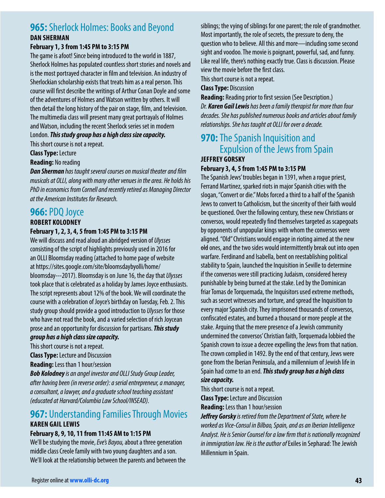## **965:** Sherlock Holmes: Books and Beyond

### **DAN SHERMAN**

### **February 1, 3 from 1:45 PM to 3:15 PM**

The game is afoot! Since being introduced to the world in 1887, Sherlock Holmes has populated countless short stories and novels and is the most portrayed character in film and television. An industry of Sherlockian scholarship exists that treats him as a real person. This course will first describe the writings of Arthur Conan Doyle and some of the adventures of Holmes and Watson written by others. It will then detail the long history of the pair on stage, film, and television. The multimedia class will present many great portrayals of Holmes and Watson, including the recent Sherlock series set in modern London. *This study group has a high class size capacity.*

This short course is not a repeat.

### **Class Type:** Lecture

### **Reading:** No reading

*Dan Sherman has taught several courses on musical theater and film musicals at OLLI, along with many other venues in the area. He holds his PhD in economics from Cornell and recently retired as Managing Director at the American Institutes for Research.*

## **966:** PDQ Joyce

### **ROBERT KOLODNEY**

### **February 1, 2, 3, 4, 5 from 1:45 PM to 3:15 PM**

We will discuss and read aloud an abridged version of *Ulysses* consisting of the script of highlights previously used in 2016 for an OLLI Bloomsday reading (attached to home page of website at [https://sites.google.com/site/bloomsdaybyolli/home/](https://sites.google.com/site/bloomsdaybyolli/home/bloomsday---2017) [bloomsday---2017\)](https://sites.google.com/site/bloomsdaybyolli/home/bloomsday---2017). Bloomsday is on June 16, the day that *Ulysses* took place that is celebrated as a holiday by James Joyce enthusiasts. The script represents about 12% of the book. We will coordinate the course with a celebration of Joyce's birthday on Tuesday, Feb. 2. This study group should provide a good introduction to *Ulysses* for those who have not read the book, and a varied selection of rich Joycean prose and an opportunity for discussion for partisans. *This study* 

### *group has a high class size capacity.*

This short course is not a repeat.

**Class Type:** Lecture and Discussion

**Reading:** Less than 1 hour/session

*Bob Kolodney is an angel investor and OLLI Study Group Leader, after having been (in reverse order): a serial entrepreneur, a manager, a consultant, a lawyer, and a graduate school teaching assistant (educated at Harvard/Columbia Law School/INSEAD).*

### **967:** Understanding Families Through Movies **KAREN GAIL LEWIS**

### **February 8, 9, 10, 11 from 11:45 AM to 1:15 PM**

We'll be studying the movie, *Eve's Bayou,* about a three generation middle class Creole family with two young daughters and a son. We'll look at the relationship between the parents and between the siblings; the vying of siblings for one parent; the role of grandmother. Most importantly, the role of secrets, the pressure to deny, the question who to believe. All this and more—including some second sight and voodoo. The movie is poignant, powerful, sad, and funny. Like real life, there's nothing exactly true. Class is discussion. Please view the movie before the first class.

This short course is not a repeat.

**Class Type:** Discussion

**Reading:** Reading prior to first session (See Description.) *Dr. Karen Gail Lewis has been a family therapist for more than four decades. She has published numerous books and articles about family relationships. She has taught at OLLI for over a decade.*

## **970:** The Spanish Inquisition and Expulsion of the Jews from Spain **JEFFREY GORSKY**

### **February 3, 4, 5 from 1:45 PM to 3:15 PM**

The Spanish Jews' troubles began in 1391, when a rogue priest, Ferrand Martinez, sparked riots in major Spanish cities with the slogan, "Convert or die." Mobs forced a third to a half of the Spanish Jews to convert to Catholicism, but the sincerity of their faith would be questioned. Over the following century, these new Christians or conversos, would repeatedly find themselves targeted as scapegoats by opponents of unpopular kings with whom the conversos were aligned. "Old" Christians would engage in rioting aimed at the new old ones, and the two sides would intermittently break out into open warfare. Ferdinand and Isabella, bent on reestablishing political stability to Spain, launched the Inquisition in Seville to determine if the conversos were still practicing Judaism, considered heresy punishable by being burned at the stake. Led by the Dominican friar Tomas de Torquemada, the Inquisitors used extreme methods, such as secret witnesses and torture, and spread the Inquisition to every major Spanish city. They imprisoned thousands of conversos, confiscated estates, and burned a thousand or more people at the stake. Arguing that the mere presence of a Jewish community undermined the conversos' Christian faith, Torquemada lobbied the Spanish crown to issue a decree expelling the Jews from that nation. The crown complied in 1492. By the end of that century, Jews were gone from the Iberian Peninsula, and a millennium of Jewish life in Spain had come to an end. *This study group has a high class size capacity.*

This short course is not a repeat.

**Class Type:** Lecture and Discussion

**Reading:** Less than 1 hour/session

*Jeffrey Gorsky is retired from the Department of State, where he worked as Vice-Consul in Bilbao, Spain, and as an Iberian Intelligence Analyst. He is Senior Counsel for a law firm that is nationally recognized in immigration law. He is the author of* Exiles in Sepharad: The Jewish Millennium in Spain.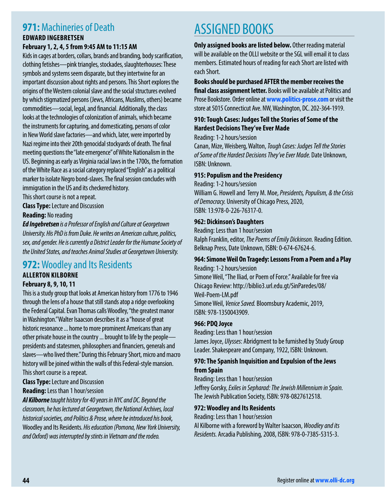## **971:** Machineries of Death

## **EDWARD INGEBRETSEN**

### **February 1, 2, 4, 5 from 9:45 AM to 11:15 AM**

Kids in cages at borders, collars, brands and branding, body scarification, clothing fetishes—pink triangles, stockades, slaughterhouses: These symbols and systems seem disparate, but they intertwine for an important discussion about rights and persons. This Short explores the origins of the Western colonial slave and the social structures evolved by which stigmatized persons (Jews, Africans, Muslims, others) became commodities—social, legal, and financial. Additionally, the class looks at the technologies of colonization of animals, which became the instruments for capturing, and domesticating, persons of color in New World slave factories—and which, later, were imported by Nazi regime into their 20th genocidal stockyards of death. The final meeting questions the "late emergence" of White Nationalism in the US. Beginning as early as Virginia racial laws in the 1700s, the formation of the White Race as a social category replaced "English" as a political marker to isolate Negro bond-slaves. The final session concludes with immigration in the US and its checkered history.

This short course is not a repeat.

**Class Type:** Lecture and Discussion

**Reading:** No reading

*Ed Ingebretsen is a Professor of English and Culture at Georgetown University. His PhD is from Duke. He writes on American culture, politics, sex, and gender. He is currently a District Leader for the Humane Society of the United States, and teaches Animal Studies at Georgetown University.*

## **972: Woodley and Its Residents**

## **ALLERTON KILBORNE**

### **February 8, 9, 10, 11**

This is a study group that looks at American history from 1776 to 1946 through the lens of a house that still stands atop a ridge overlooking the Federal Capital. Evan Thomas calls Woodley, "the greatest manor in Washington." Walter Isaacson describes it as a "house of great historic resonance ... home to more prominent Americans than any other private house in the country ... brought to life by the people presidents and statesmen, philosophers and financiers, generals and slaves—who lived there." During this February Short, micro and macro history will be joined within the walls of this Federal-style mansion. This short course is a repeat.

**Class Type:** Lecture and Discussion

**Reading:** Less than 1 hour/session

*Al Kilborne taught history for 40 years in NYC and DC. Beyond the classroom, he has lectured at Georgetown, the National Archives, local historical societies, and Politics & Prose, where he introduced his book,*  Woodley and Its Residents. *His education (Pomona, New York University, and Oxford) was interrupted by stints in Vietnam and the rodeo.*

## ASSIGNED BOOKS

**Only assigned books are listed below.** Other reading material will be available on the OLLI website or the SGL will email it to class members. Estimated hours of reading for each Short are listed with each Short.

**Books should be purchased AFTER the member receives the final class assignment letter.** Books will be available at Politics and Prose Bookstore. Order online at **[www.politics-prose.com](http://www.politics-prose.com)** or visit the store at 5015 Connecticut Ave. NW, Washington, DC. 202-364-1919.

### **910: Tough Cases: Judges Tell the Stories of Some of the Hardest Decisions They've Ever Made**

Reading: 1-2 hours/session

Canan, Mize, Weisberg, Walton, *Tough Cases: Judges Tell the Stories of Some of the Hardest Decisions They've Ever Made.* Date Unknown, ISBN: Unknown.

### **915: Populism and the Presidency**

Reading: 1-2 hours/session William G. Howell and Terry M. Moe, *Presidents, Populism, & the Crisis of Democracy.* University of Chicago Press, 2020, ISBN: 13:978-0-226-76317-0.

### **962: Dickinson's Daughters**

Reading: Less than 1 hour/session Ralph Franklin, editor, *The Poems of Emily Dickinson.* Reading Edition. Belknap Press, Date Unknown, ISBN: 0-674-67624-6.

### **964: Simone Weil On Tragedy: Lessons From a Poem and a Play**

Reading: 1-2 hours/session Simone Weil, "The Iliad, or Poem of Force." Available for free via Chicago Review: http://biblio3.url.edu.gt/SinParedes/08/ Weil-Poem-LM.pdf Simone Weil, *Venice Saved.* Bloomsbury Academic, 2019, ISBN: 978-1350043909.

### **966: PDQ Joyce**

Reading: Less than 1 hour/session James Joyce, *Ulysses*: Abridgment to be furnished by Study Group Leader. Shakespeare and Company, 1922, ISBN: Unknown.

### **970: The Spanish Inquisition and Expulsion of the Jews from Spain**

Reading: Less than 1 hour/session Jeffrey Gorsky, *Exiles in Sepharad: The Jewish Millennium in Spain.*  The Jewish Publication Society, ISBN: 978-0827612518.

### **972: Woodley and Its Residents**

Reading: Less than 1 hour/session

Al Kilborne with a foreword by Walter Isaacson, *Woodley and its Residents.* Arcadia Publishing, 2008, ISBN: 978-0-7385-5315-3.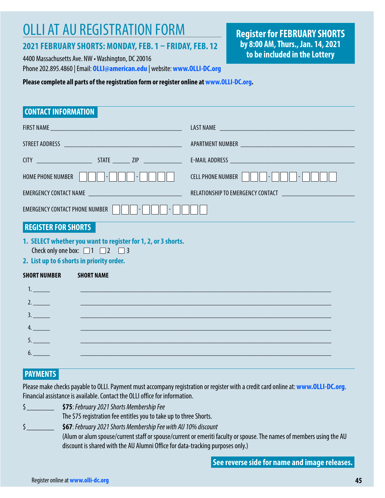# OLLI AT AU REGISTRATION FORM

## **2021 FEBRUARY SHORTS: MONDAY, FEB. 1 – FRIDAY, FEB. 12**

4400 Massachusetts Ave. NW • Washington, DC 20016 Phone 202.895.4860 | Email: **[OLLI@american.edu](mailto:OLLI@american.edu)** | website: **[www.OLLI-DC.org](http://www.OLLI-DC.org)** **Register for FEBRUARY SHORTS by 8:00 AM, Thurs., Jan. 14, 2021 to be included in the Lottery**

### **Please complete all parts of the registration form or register online at [www.OLLI-DC.org](http://www.OLLI-DC.org).**

| <b>CONTACT INFORMATION</b> |  |
|----------------------------|--|
|                            |  |

| HOME PHONE NUMBER $   \    \    -          \    -   $             | CELL PHONE NUMBER          -         -           |  |
|-------------------------------------------------------------------|--------------------------------------------------|--|
|                                                                   | RELATIONSHIP TO EMERGENCY CONTACT <b>CONTACT</b> |  |
| EMERGENCY CONTACT PHONE NUMBER      <br>$\sim$<br>$\vert - \vert$ |                                                  |  |
|                                                                   |                                                  |  |

### **REGISTER FOR SHORTS**

- **1. SELECT whether you want to register for 1, 2, or 3 shorts.** Check only one box:  $\Box$  1  $\Box$  2  $\Box$  3
- **2. List up to 6 shorts in priority order.**

### **SHORT NUMBER SHORT NAME**

| $\frac{2}{2}$                                                                                                                                                                                                                     |
|-----------------------------------------------------------------------------------------------------------------------------------------------------------------------------------------------------------------------------------|
|                                                                                                                                                                                                                                   |
|                                                                                                                                                                                                                                   |
|                                                                                                                                                                                                                                   |
| $\frac{1}{2}$ . The contract of the contract of the contract of the contract of the contract of the contract of the contract of the contract of the contract of the contract of the contract of the contract of the contract of t |
|                                                                                                                                                                                                                                   |

## **PAYMENTS**

Please make checks payable to OLLI. Payment must accompany registration or register with a credit card online at: **[www.OLLI-DC.org](http://www.OLLI-DC.org)**. Financial assistance is available. Contact the OLLI office for information.

\$\_\_\_\_\_\_\_ **\$75**: *February 2021 Shorts Membership Fee*

The \$75 registration fee entitles you to take up to three Shorts.

\$\_\_\_\_\_\_\_ **\$67**: *February 2021 Shorts Membership Fee with AU 10% discount*

(Alum or alum spouse/current staff or spouse/current or emeriti faculty or spouse. The names of members using the AU discount is shared with the AU Alumni Office for data-tracking purposes only.)

**See reverse side for name and image releases.**